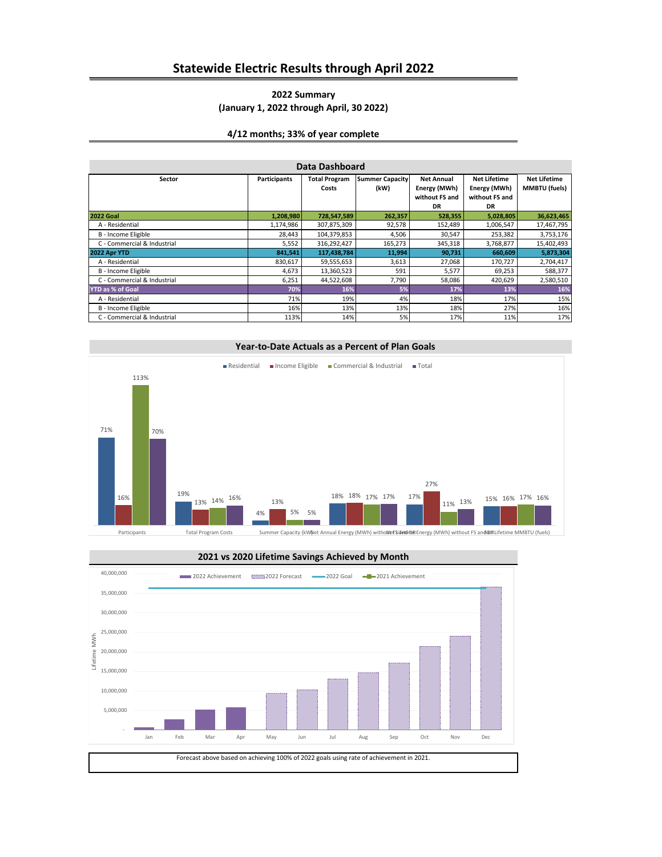## **Statewide Electric Results through April 2022**

### **2022 Summary (January 1, 2022 through April, 30 2022)**

#### **4/12 months; 33% of year complete**

| Data Dashboard              |                     |                                                                     |         |                     |                     |                      |  |
|-----------------------------|---------------------|---------------------------------------------------------------------|---------|---------------------|---------------------|----------------------|--|
| Sector                      | <b>Participants</b> | <b>Summer Capacity</b><br><b>Total Program</b><br><b>Net Annual</b> |         | <b>Net Lifetime</b> | <b>Net Lifetime</b> |                      |  |
|                             |                     | Costs                                                               | (kW)    | Energy (MWh)        | Energy (MWh)        | <b>MMBTU</b> (fuels) |  |
|                             |                     |                                                                     |         | without FS and      | without FS and      |                      |  |
|                             |                     |                                                                     |         | DR                  | <b>DR</b>           |                      |  |
| <b>2022 Goal</b>            | 1,208,980           | 728,547,589                                                         | 262,357 | 528,355             | 5,028,805           | 36,623,465           |  |
| A - Residential             | 1,174,986           | 307,875,309                                                         | 92,578  | 152,489             | 1,006,547           | 17,467,795           |  |
| B - Income Eligible         | 28,443              | 104,379,853                                                         | 4,506   | 30,547              | 253,382             | 3,753,176            |  |
| C - Commercial & Industrial | 5,552               | 316,292,427                                                         | 165,273 | 345,318             | 3,768,877           | 15,402,493           |  |
| 2022 Apr YTD                | 841,541             | 117,438,784                                                         | 11,994  | 90,731              | 660,609             | 5,873,304            |  |
| A - Residential             | 830,617             | 59,555,653                                                          | 3,613   | 27,068              | 170,727             | 2,704,417            |  |
| B - Income Eligible         | 4,673               | 13,360,523                                                          | 591     | 5,577               | 69,253              | 588,377              |  |
| C - Commercial & Industrial | 6,251               | 44,522,608                                                          | 7,790   | 58,086              | 420,629             | 2,580,510            |  |
| <b>YTD as % of Goal</b>     | 70%                 | 16%                                                                 | 5%      | 17%                 | 13%                 | 16%                  |  |
| A - Residential             | 71%                 | 19%                                                                 | 4%      | 18%                 | 17%                 | 15%                  |  |
| B - Income Eligible         | 16%                 | 13%                                                                 | 13%     | 18%                 | 27%                 | 16%                  |  |
| C - Commercial & Industrial | 113%                | 14%                                                                 | 5%      | 17%                 | 11%                 | 17%                  |  |



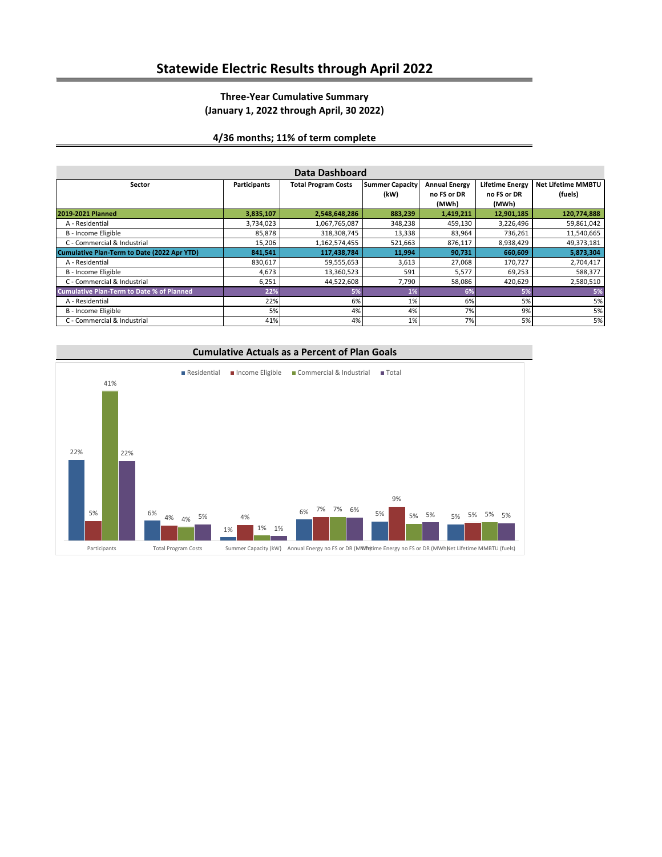# **Statewide Electric Results through April 2022**

### **Three-Year Cumulative Summary (January 1, 2022 through April, 30 2022)**

### **4/36 months; 11% of term complete**

| Data Dashboard                                   |                     |                            |                        |                      |                        |                           |
|--------------------------------------------------|---------------------|----------------------------|------------------------|----------------------|------------------------|---------------------------|
| Sector                                           | <b>Participants</b> | <b>Total Program Costs</b> | <b>Summer Capacity</b> | <b>Annual Energy</b> | <b>Lifetime Energy</b> | <b>Net Lifetime MMBTU</b> |
|                                                  |                     |                            | (kW)                   | no FS or DR<br>(MWh) | no FS or DR<br>(MWh)   | (fuels)                   |
| 2019-2021 Planned                                | 3,835,107           | 2,548,648,286              | 883,239                | 1,419,211            | 12,901,185             | 120,774,888               |
| A - Residential                                  | 3,734,023           | 1,067,765,087              | 348,238                | 459,130              | 3,226,496              | 59,861,042                |
| B - Income Eligible                              | 85,878              | 318,308,745                | 13,338                 | 83,964               | 736,261                | 11,540,665                |
| C - Commercial & Industrial                      | 15,206              | 1,162,574,455              | 521,663                | 876,117              | 8,938,429              | 49,373,181                |
| Cumulative Plan-Term to Date (2022 Apr YTD)      | 841,541             | 117,438,784                | 11,994                 | 90,731               | 660,609                | 5,873,304                 |
| A - Residential                                  | 830,617             | 59,555,653                 | 3,613                  | 27,068               | 170,727                | 2,704,417                 |
| B - Income Eligible                              | 4,673               | 13,360,523                 | 591                    | 5,577                | 69,253                 | 588,377                   |
| C - Commercial & Industrial                      | 6,251               | 44,522,608                 | 7,790                  | 58,086               | 420,629                | 2,580,510                 |
| <b>Cumulative Plan-Term to Date % of Planned</b> | 22%                 | 5%                         | 1%                     | 6%                   | 5%                     | 5%                        |
| A - Residential                                  | 22%                 | 6%                         | 1%                     | 6%                   | 5%                     | 5%                        |
| B - Income Eligible                              | 5%                  | 4%                         | 4%                     | 7%                   | 9%                     | 5%                        |
| C - Commercial & Industrial                      | 41%                 | 4%                         | 1%                     | 7%                   | 5%                     | 5%                        |



#### **Cumulative Actuals as a Percent of Plan Goals**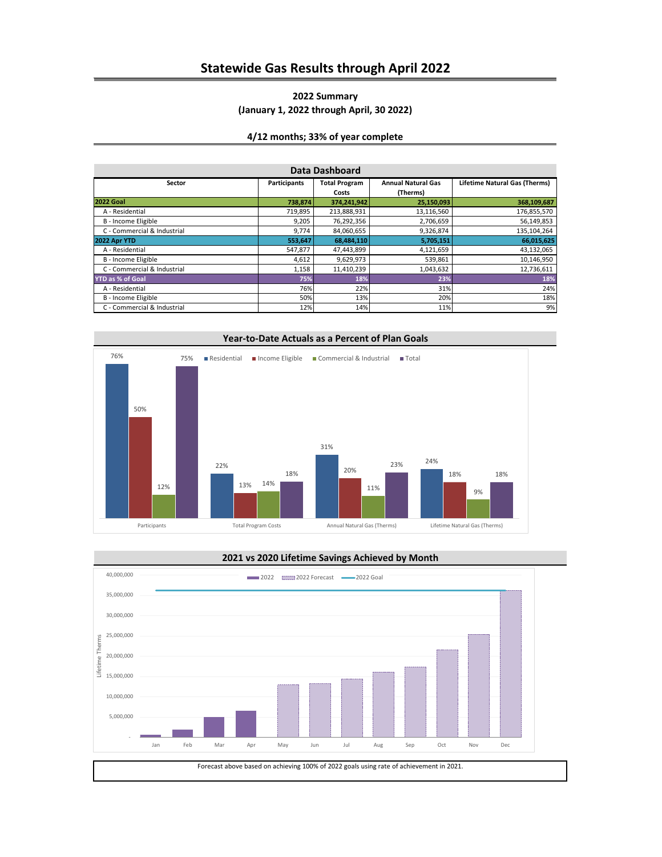## **Statewide Gas Results through April 2022**

### **2022 Summary (January 1, 2022 through April, 30 2022)**

### **4/12 months; 33% of year complete**

| Data Dashboard              |              |                               |                                       |                                      |  |  |
|-----------------------------|--------------|-------------------------------|---------------------------------------|--------------------------------------|--|--|
| Sector                      | Participants | <b>Total Program</b><br>Costs | <b>Annual Natural Gas</b><br>(Therms) | <b>Lifetime Natural Gas (Therms)</b> |  |  |
| <b>2022 Goal</b>            | 738,874      | 374,241,942                   | 25,150,093                            | 368,109,687                          |  |  |
| A - Residential             | 719,895      | 213,888,931                   | 13,116,560                            | 176,855,570                          |  |  |
| B - Income Eligible         | 9,205        | 76,292,356                    | 2,706,659                             | 56,149,853                           |  |  |
| C - Commercial & Industrial | 9,774        | 84,060,655                    | 9,326,874                             | 135,104,264                          |  |  |
| 2022 Apr YTD                | 553,647      | 68,484,110                    | 5,705,151                             | 66,015,625                           |  |  |
| A - Residential             | 547,877      | 47,443,899                    | 4,121,659                             | 43,132,065                           |  |  |
| B - Income Eligible         | 4,612        | 9,629,973                     | 539,861                               | 10,146,950                           |  |  |
| C - Commercial & Industrial | 1,158        | 11,410,239                    | 1,043,632                             | 12,736,611                           |  |  |
| YTD as % of Goal            | 75%          | 18%                           | 23%                                   | 18%                                  |  |  |
| A - Residential             | 76%          | 22%                           | 31%                                   | 24%                                  |  |  |
| B - Income Eligible         | 50%          | 13%                           | 20%                                   | 18%                                  |  |  |
| C - Commercial & Industrial | 12%          | 14%                           | 11%                                   | 9%                                   |  |  |